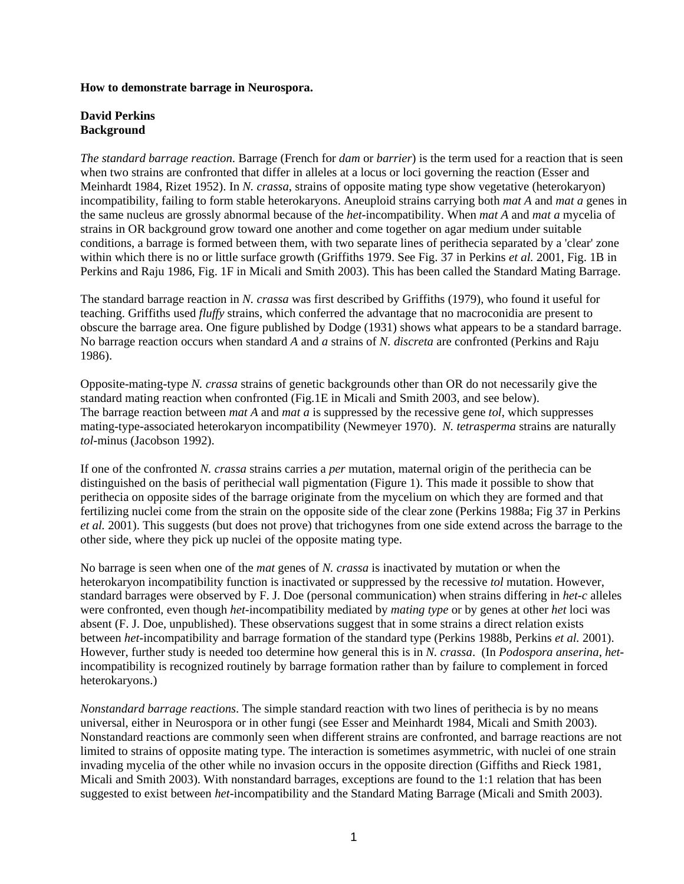## **How to demonstrate barrage in Neurospora.**

## **David Perkins Background**

*The standard barrage reaction*. Barrage (French for *dam* or *barrier*) is the term used for a reaction that is seen when two strains are confronted that differ in alleles at a locus or loci governing the reaction (Esser and Meinhardt 1984, Rizet 1952). In *N. crassa*, strains of opposite mating type show vegetative (heterokaryon) incompatibility, failing to form stable heterokaryons. Aneuploid strains carrying both *mat A* and *mat a* genes in the same nucleus are grossly abnormal because of the *het*-incompatibility. When *mat A* and *mat a* mycelia of strains in OR background grow toward one another and come together on agar medium under suitable conditions, a barrage is formed between them, with two separate lines of perithecia separated by a 'clear' zone within which there is no or little surface growth (Griffiths 1979. See Fig. 37 in Perkins *et al.* 2001, Fig. 1B in Perkins and Raju 1986, Fig. 1F in Micali and Smith 2003). This has been called the Standard Mating Barrage.

The standard barrage reaction in *N. crassa* was first described by Griffiths (1979), who found it useful for teaching. Griffiths used *fluffy* strains, which conferred the advantage that no macroconidia are present to obscure the barrage area. One figure published by Dodge (1931) shows what appears to be a standard barrage. No barrage reaction occurs when standard *A* and *a* strains of *N. discreta* are confronted (Perkins and Raju 1986).

Opposite-mating-type *N. crassa* strains of genetic backgrounds other than OR do not necessarily give the standard mating reaction when confronted (Fig.1E in Micali and Smith 2003, and see below). The barrage reaction between *mat A* and *mat a* is suppressed by the recessive gene *tol*, which suppresses mating-type-associated heterokaryon incompatibility (Newmeyer 1970). *N. tetrasperma* strains are naturally *tol*-minus (Jacobson 1992).

If one of the confronted *N. crassa* strains carries a *per* mutation, maternal origin of the perithecia can be distinguished on the basis of perithecial wall pigmentation (Figure 1). This made it possible to show that perithecia on opposite sides of the barrage originate from the mycelium on which they are formed and that fertilizing nuclei come from the strain on the opposite side of the clear zone (Perkins 1988a; Fig 37 in Perkins *et al.* 2001). This suggests (but does not prove) that trichogynes from one side extend across the barrage to the other side, where they pick up nuclei of the opposite mating type.

No barrage is seen when one of the *mat* genes of *N. crassa* is inactivated by mutation or when the heterokaryon incompatibility function is inactivated or suppressed by the recessive *tol* mutation. However, standard barrages were observed by F. J. Doe (personal communication) when strains differing in *het-c* alleles were confronted, even though *het*-incompatibility mediated by *mating type* or by genes at other *het* loci was absent (F. J. Doe, unpublished). These observations suggest that in some strains a direct relation exists between *het*-incompatibility and barrage formation of the standard type (Perkins 1988b, Perkins *et al.* 2001). However, further study is needed too determine how general this is in *N. crassa*. (In *Podospora anserina*, *het*incompatibility is recognized routinely by barrage formation rather than by failure to complement in forced heterokaryons.)

*Nonstandard barrage reactions*. The simple standard reaction with two lines of perithecia is by no means universal, either in Neurospora or in other fungi (see Esser and Meinhardt 1984, Micali and Smith 2003). Nonstandard reactions are commonly seen when different strains are confronted, and barrage reactions are not limited to strains of opposite mating type. The interaction is sometimes asymmetric, with nuclei of one strain invading mycelia of the other while no invasion occurs in the opposite direction (Giffiths and Rieck 1981, Micali and Smith 2003). With nonstandard barrages, exceptions are found to the 1:1 relation that has been suggested to exist between *het*-incompatibility and the Standard Mating Barrage (Micali and Smith 2003).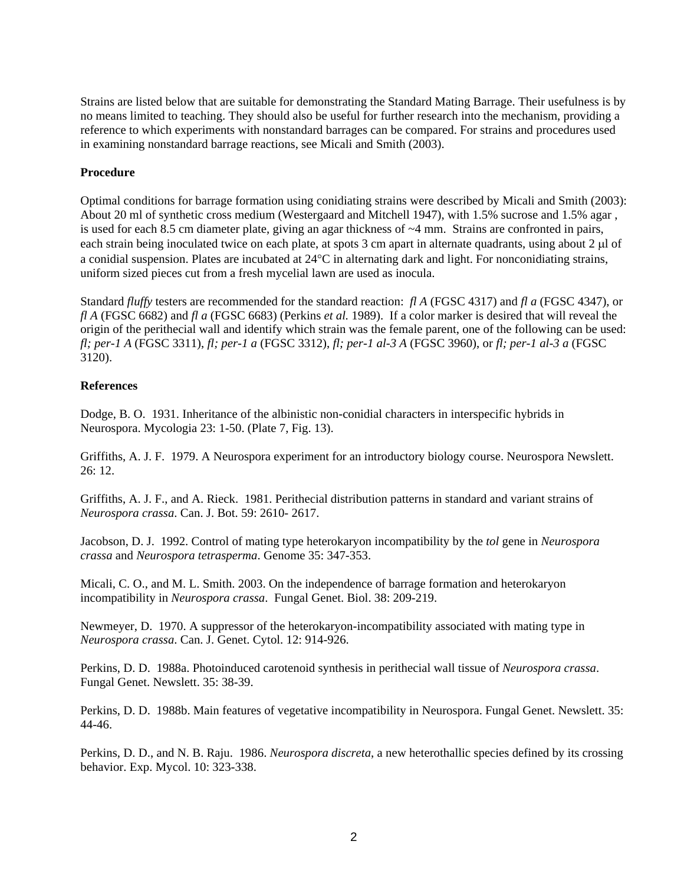Strains are listed below that are suitable for demonstrating the Standard Mating Barrage. Their usefulness is by no means limited to teaching. They should also be useful for further research into the mechanism, providing a reference to which experiments with nonstandard barrages can be compared. For strains and procedures used in examining nonstandard barrage reactions, see Micali and Smith (2003).

## **Procedure**

Optimal conditions for barrage formation using conidiating strains were described by Micali and Smith (2003): About 20 ml of synthetic cross medium (Westergaard and Mitchell 1947), with 1.5% sucrose and 1.5% agar , is used for each 8.5 cm diameter plate, giving an agar thickness of  $\sim$ 4 mm. Strains are confronted in pairs, each strain being inoculated twice on each plate, at spots 3 cm apart in alternate quadrants, using about 2 µl of a conidial suspension. Plates are incubated at 24°C in alternating dark and light. For nonconidiating strains, uniform sized pieces cut from a fresh mycelial lawn are used as inocula.

Standard *fluffy* testers are recommended for the standard reaction: *fl A* (FGSC 4317) and *fl a* (FGSC 4347), or *fl A* (FGSC 6682) and *fl a* (FGSC 6683) (Perkins *et al.* 1989). If a color marker is desired that will reveal the origin of the perithecial wall and identify which strain was the female parent, one of the following can be used: *fl; per-1 A* (FGSC 3311), *fl; per-1 a* (FGSC 3312), *fl; per-1 al-3 A* (FGSC 3960), or *fl; per-1 al-3 a* (FGSC 3120).

## **References**

Dodge, B. O. 1931. Inheritance of the albinistic non-conidial characters in interspecific hybrids in Neurospora. Mycologia 23: 1-50. (Plate 7, Fig. 13).

Griffiths, A. J. F. 1979. A Neurospora experiment for an introductory biology course. Neurospora Newslett. 26: 12.

Griffiths, A. J. F., and A. Rieck. 1981. Perithecial distribution patterns in standard and variant strains of *Neurospora crassa*. Can. J. Bot. 59: 2610- 2617.

Jacobson, D. J. 1992. Control of mating type heterokaryon incompatibility by the *tol* gene in *Neurospora crassa* and *Neurospora tetrasperma*. Genome 35: 347-353.

Micali, C. O., and M. L. Smith. 2003. On the independence of barrage formation and heterokaryon incompatibility in *Neurospora crassa*. Fungal Genet. Biol. 38: 209-219.

Newmeyer, D. 1970. A suppressor of the heterokaryon-incompatibility associated with mating type in *Neurospora crassa*. Can. J. Genet. Cytol. 12: 914-926.

Perkins, D. D. 1988a. Photoinduced carotenoid synthesis in perithecial wall tissue of *Neurospora crassa*. Fungal Genet. Newslett. 35: 38-39.

Perkins, D. D. 1988b. Main features of vegetative incompatibility in Neurospora. Fungal Genet. Newslett. 35: 44-46.

Perkins, D. D., and N. B. Raju. 1986. *Neurospora discreta*, a new heterothallic species defined by its crossing behavior. Exp. Mycol. 10: 323-338.